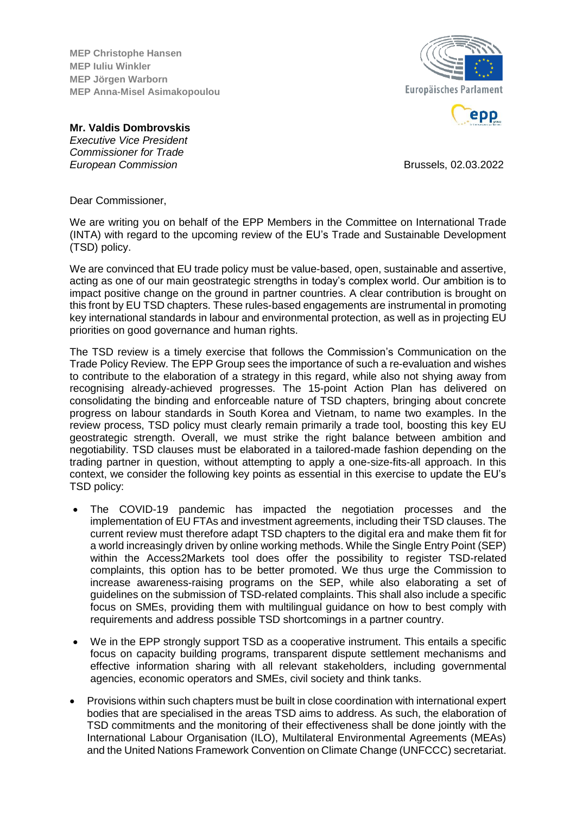**MEP Christophe Hansen MEP Iuliu Winkler MEP Jörgen Warborn MEP Anna-Misel Asimakopoulou**



**Mr. Valdis Dombrovskis**  *Executive Vice President Commissioner for Trade European Commission* Brussels, 02.03.2022

Dear Commissioner,

We are writing you on behalf of the EPP Members in the Committee on International Trade (INTA) with regard to the upcoming review of the EU's Trade and Sustainable Development (TSD) policy.

We are convinced that EU trade policy must be value-based, open, sustainable and assertive, acting as one of our main geostrategic strengths in today's complex world. Our ambition is to impact positive change on the ground in partner countries. A clear contribution is brought on this front by EU TSD chapters. These rules-based engagements are instrumental in promoting key international standards in labour and environmental protection, as well as in projecting EU priorities on good governance and human rights.

The TSD review is a timely exercise that follows the Commission's Communication on the Trade Policy Review. The EPP Group sees the importance of such a re-evaluation and wishes to contribute to the elaboration of a strategy in this regard, while also not shying away from recognising already-achieved progresses. The 15-point Action Plan has delivered on consolidating the binding and enforceable nature of TSD chapters, bringing about concrete progress on labour standards in South Korea and Vietnam, to name two examples. In the review process, TSD policy must clearly remain primarily a trade tool, boosting this key EU geostrategic strength. Overall, we must strike the right balance between ambition and negotiability. TSD clauses must be elaborated in a tailored-made fashion depending on the trading partner in question, without attempting to apply a one-size-fits-all approach. In this context, we consider the following key points as essential in this exercise to update the EU's TSD policy:

- The COVID-19 pandemic has impacted the negotiation processes and the implementation of EU FTAs and investment agreements, including their TSD clauses. The current review must therefore adapt TSD chapters to the digital era and make them fit for a world increasingly driven by online working methods. While the Single Entry Point (SEP) within the Access2Markets tool does offer the possibility to register TSD-related complaints, this option has to be better promoted. We thus urge the Commission to increase awareness-raising programs on the SEP, while also elaborating a set of guidelines on the submission of TSD-related complaints. This shall also include a specific focus on SMEs, providing them with multilingual guidance on how to best comply with requirements and address possible TSD shortcomings in a partner country.
- We in the EPP strongly support TSD as a cooperative instrument. This entails a specific focus on capacity building programs, transparent dispute settlement mechanisms and effective information sharing with all relevant stakeholders, including governmental agencies, economic operators and SMEs, civil society and think tanks.
- Provisions within such chapters must be built in close coordination with international expert bodies that are specialised in the areas TSD aims to address. As such, the elaboration of TSD commitments and the monitoring of their effectiveness shall be done jointly with the International Labour Organisation (ILO), Multilateral Environmental Agreements (MEAs) and the United Nations Framework Convention on Climate Change (UNFCCC) secretariat.